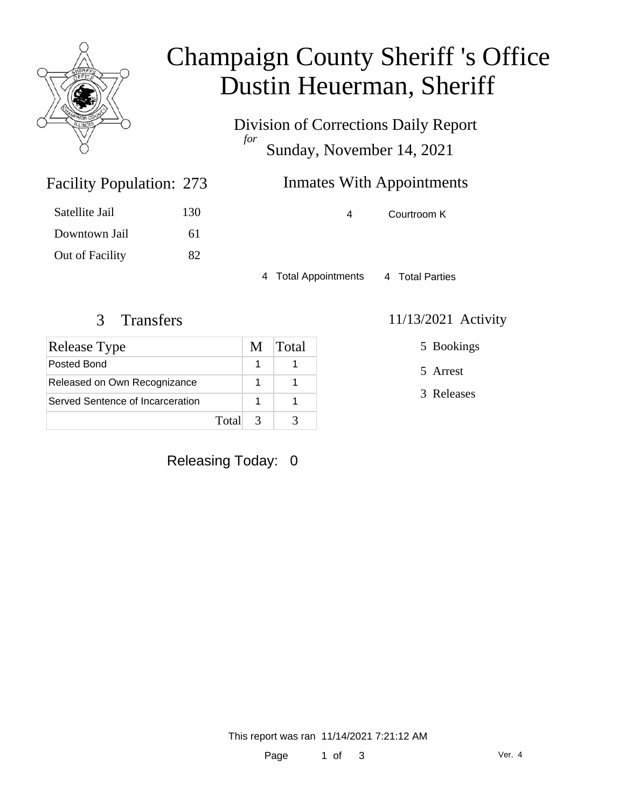

## Champaign County Sheriff 's Office Dustin Heuerman, Sheriff

Division of Corrections Daily Report *for* Sunday, November 14, 2021

## **Inmates With Appointments**

4 Courtroom K

4 Total Appointments 4 Total Parties

Facility Population: 273

Satellite Jail 130

Downtown Jail 61

Out of Facility 82

| Release Type                     | M             | Total |
|----------------------------------|---------------|-------|
| Posted Bond                      |               |       |
| Released on Own Recognizance     |               |       |
| Served Sentence of Incarceration |               |       |
| Total                            | $\mathcal{R}$ |       |

### Releasing Today: 0

### 3 Transfers 11/13/2021 Activity

5 Bookings

5 Arrest

3 Releases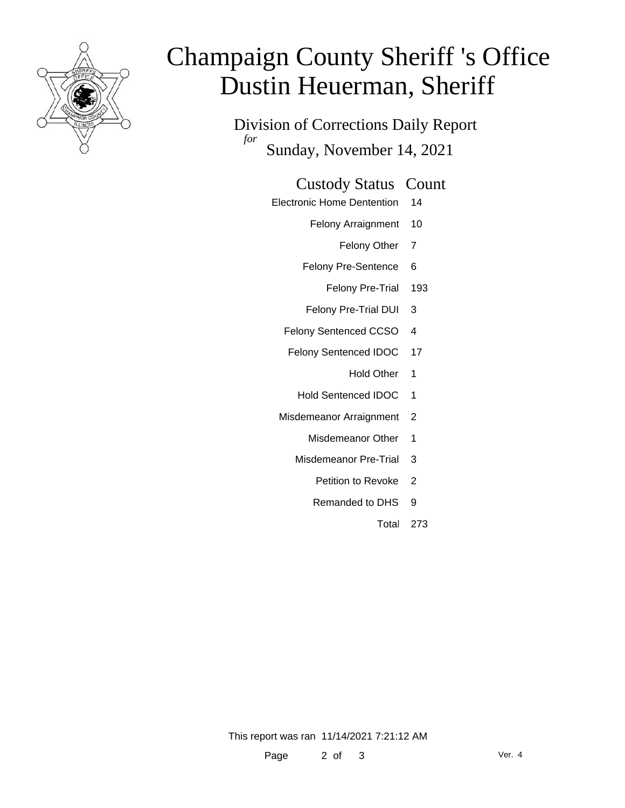

# Champaign County Sheriff 's Office Dustin Heuerman, Sheriff

Division of Corrections Daily Report *for* Sunday, November 14, 2021

#### Custody Status Count

- Electronic Home Dentention 14
	- Felony Arraignment 10
		- Felony Other 7
	- Felony Pre-Sentence 6
		- Felony Pre-Trial 193
	- Felony Pre-Trial DUI 3
	- Felony Sentenced CCSO 4
	- Felony Sentenced IDOC 17
		- Hold Other 1
		- Hold Sentenced IDOC 1
	- Misdemeanor Arraignment 2
		- Misdemeanor Other 1
		- Misdemeanor Pre-Trial 3
			- Petition to Revoke 2
			- Remanded to DHS 9
				- Total 273

This report was ran 11/14/2021 7:21:12 AM